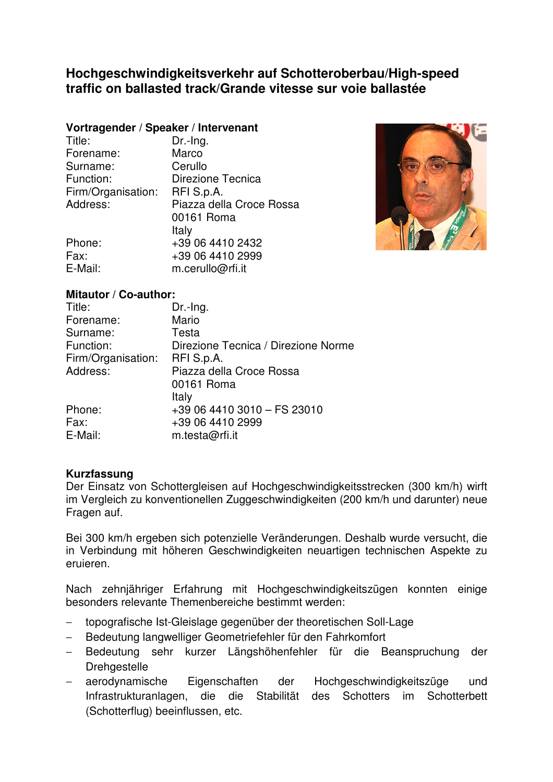# **Hochgeschwindigkeitsverkehr auf Schotteroberbau/High-speed traffic on ballasted track/Grande vitesse sur voie ballastée**

# **Vortragender / Speaker / Intervenant**

| Title:             | Dr.-Ing.                 |
|--------------------|--------------------------|
| Forename:          | Marco                    |
| Surname:           | Cerullo                  |
| Function:          | Direzione Tecnica        |
| Firm/Organisation: | RFI S.p.A.               |
| Address:           | Piazza della Croce Rossa |
|                    | 00161 Roma               |
|                    | Italy                    |
| Phone:             | +39 06 4410 2432         |
| Fax:               | +39 06 4410 2999         |
| E-Mail:            | m.cerullo@rfi.it         |



# **Mitautor / Co-author:**

| Title:             | Dr.-Ing.                            |
|--------------------|-------------------------------------|
| Forename:          | Mario                               |
| Surname:           | Testa                               |
| Function:          | Direzione Tecnica / Direzione Norme |
| Firm/Organisation: | RFI S.p.A.                          |
| Address:           | Piazza della Croce Rossa            |
|                    | 00161 Roma                          |
|                    | Italy                               |
| Phone:             | +39 06 4410 3010 - FS 23010         |
| Fax:               | +39 06 4410 2999                    |
| E-Mail:            | m.testa@rfi.it                      |

### **Kurzfassung**

Der Einsatz von Schottergleisen auf Hochgeschwindigkeitsstrecken (300 km/h) wirft im Vergleich zu konventionellen Zuggeschwindigkeiten (200 km/h und darunter) neue Fragen auf.

Bei 300 km/h ergeben sich potenzielle Veränderungen. Deshalb wurde versucht, die in Verbindung mit höheren Geschwindigkeiten neuartigen technischen Aspekte zu eruieren.

Nach zehnjähriger Erfahrung mit Hochgeschwindigkeitszügen konnten einige besonders relevante Themenbereiche bestimmt werden:

- − topografische Ist-Gleislage gegenüber der theoretischen Soll-Lage
- Bedeutung langwelliger Geometriefehler für den Fahrkomfort
- − Bedeutung sehr kurzer Längshöhenfehler für die Beanspruchung der **Drehgestelle**
- aerodynamische Eigenschaften der Hochgeschwindigkeitszüge und Infrastrukturanlagen, die die Stabilität des Schotters im Schotterbett (Schotterflug) beeinflussen, etc.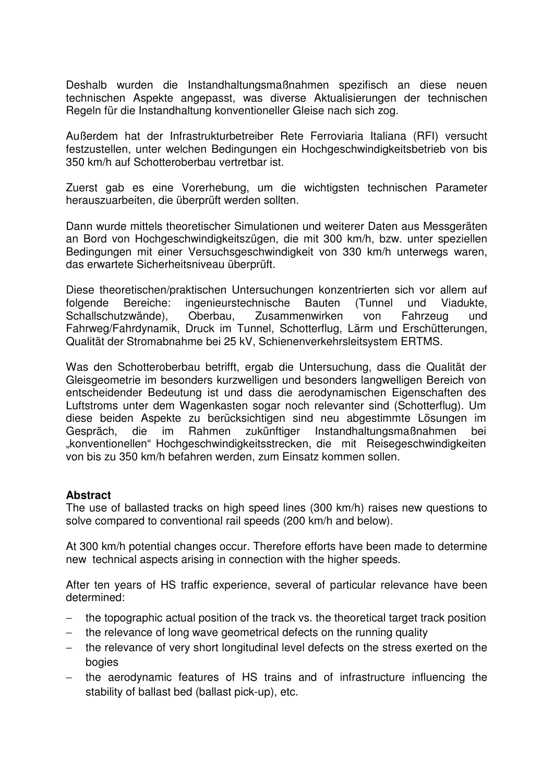Deshalb wurden die Instandhaltungsmaßnahmen spezifisch an diese neuen technischen Aspekte angepasst, was diverse Aktualisierungen der technischen Regeln für die Instandhaltung konventioneller Gleise nach sich zog.

Außerdem hat der Infrastrukturbetreiber Rete Ferroviaria Italiana (RFI) versucht festzustellen, unter welchen Bedingungen ein Hochgeschwindigkeitsbetrieb von bis 350 km/h auf Schotteroberbau vertretbar ist.

Zuerst gab es eine Vorerhebung, um die wichtigsten technischen Parameter herauszuarbeiten, die überprüft werden sollten.

Dann wurde mittels theoretischer Simulationen und weiterer Daten aus Messgeräten an Bord von Hochgeschwindigkeitszügen, die mit 300 km/h, bzw. unter speziellen Bedingungen mit einer Versuchsgeschwindigkeit von 330 km/h unterwegs waren, das erwartete Sicherheitsniveau überprüft.

Diese theoretischen/praktischen Untersuchungen konzentrierten sich vor allem auf folgende Bereiche: ingenieurstechnische Bauten (Tunnel und Viadukte, Schallschutzwände), Oberbau, Zusammenwirken von Fahrzeug und Fahrweg/Fahrdynamik, Druck im Tunnel, Schotterflug, Lärm und Erschütterungen, Qualität der Stromabnahme bei 25 kV, Schienenverkehrsleitsystem ERTMS.

Was den Schotteroberbau betrifft, ergab die Untersuchung, dass die Qualität der Gleisgeometrie im besonders kurzwelligen und besonders langwelligen Bereich von entscheidender Bedeutung ist und dass die aerodynamischen Eigenschaften des Luftstroms unter dem Wagenkasten sogar noch relevanter sind (Schotterflug). Um diese beiden Aspekte zu berücksichtigen sind neu abgestimmte Lösungen im Gespräch, die im Rahmen zukünftiger Instandhaltungsmaßnahmen bei "konventionellen" Hochgeschwindigkeitsstrecken, die mit Reisegeschwindigkeiten von bis zu 350 km/h befahren werden, zum Einsatz kommen sollen.

### **Abstract**

The use of ballasted tracks on high speed lines (300 km/h) raises new questions to solve compared to conventional rail speeds (200 km/h and below).

At 300 km/h potential changes occur. Therefore efforts have been made to determine new technical aspects arising in connection with the higher speeds.

After ten years of HS traffic experience, several of particular relevance have been determined:

- the topographic actual position of the track vs. the theoretical target track position
- − the relevance of long wave geometrical defects on the running quality
- the relevance of very short longitudinal level defects on the stress exerted on the bogies
- the aerodynamic features of HS trains and of infrastructure influencing the stability of ballast bed (ballast pick-up), etc.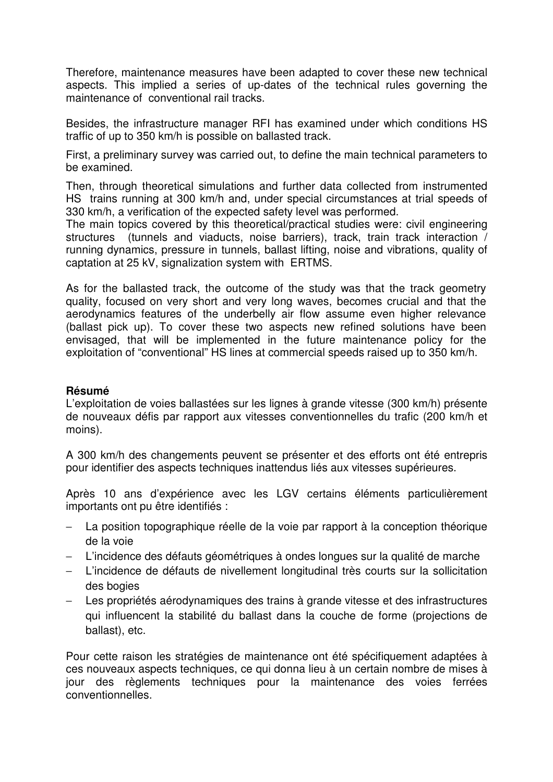Therefore, maintenance measures have been adapted to cover these new technical aspects. This implied a series of up-dates of the technical rules governing the maintenance of conventional rail tracks.

Besides, the infrastructure manager RFI has examined under which conditions HS traffic of up to 350 km/h is possible on ballasted track.

First, a preliminary survey was carried out, to define the main technical parameters to be examined.

Then, through theoretical simulations and further data collected from instrumented HS trains running at 300 km/h and, under special circumstances at trial speeds of 330 km/h, a verification of the expected safety level was performed.

The main topics covered by this theoretical/practical studies were: civil engineering structures (tunnels and viaducts, noise barriers), track, train track interaction / running dynamics, pressure in tunnels, ballast lifting, noise and vibrations, quality of captation at 25 kV, signalization system with ERTMS.

As for the ballasted track, the outcome of the study was that the track geometry quality, focused on very short and very long waves, becomes crucial and that the aerodynamics features of the underbelly air flow assume even higher relevance (ballast pick up). To cover these two aspects new refined solutions have been envisaged, that will be implemented in the future maintenance policy for the exploitation of "conventional" HS lines at commercial speeds raised up to 350 km/h.

# **Résumé**

L'exploitation de voies ballastées sur les lignes à grande vitesse (300 km/h) présente de nouveaux défis par rapport aux vitesses conventionnelles du trafic (200 km/h et moins).

A 300 km/h des changements peuvent se présenter et des efforts ont été entrepris pour identifier des aspects techniques inattendus liés aux vitesses supérieures.

Après 10 ans d'expérience avec les LGV certains éléments particulièrement importants ont pu être identifiés :

- − La position topographique réelle de la voie par rapport à la conception théorique de la voie
- L'incidence des défauts géométriques à ondes longues sur la qualité de marche
- − L'incidence de défauts de nivellement longitudinal très courts sur la sollicitation des bogies
- Les propriétés aérodynamiques des trains à grande vitesse et des infrastructures qui influencent la stabilité du ballast dans la couche de forme (projections de ballast), etc.

Pour cette raison les stratégies de maintenance ont été spécifiquement adaptées à ces nouveaux aspects techniques, ce qui donna lieu à un certain nombre de mises à jour des règlements techniques pour la maintenance des voies ferrées conventionnelles.